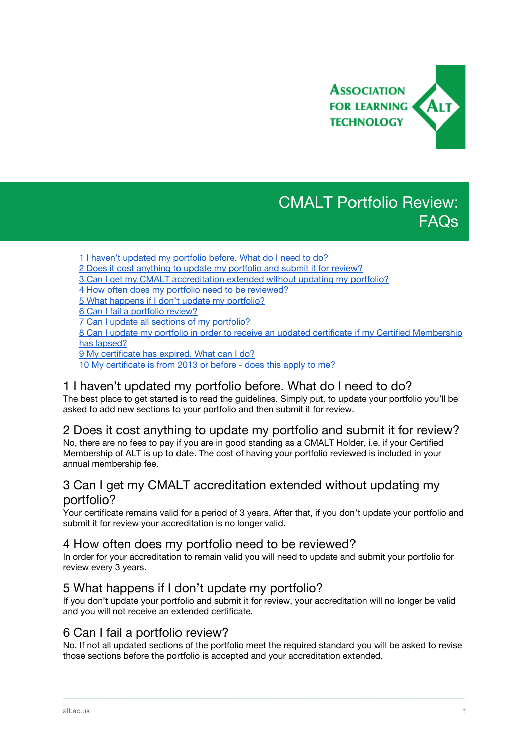

# CMALT Portfolio Review: FAQs

- 1 I haven't [updated](#page-0-2) my portfolio before. What do I need to do?
- 2 Does it cost [anything](#page-0-3) to update my portfolio and submit it for review?
- 3 Can I get my CMALT [accreditation](#page-0-1) extended without updating my portfolio?
- 4 How often does my portfolio need to be [reviewed?](#page-0-0)

5 What happens if I don't update my [portfolio?](#page-0-5)

6 Can I fail a [portfolio](#page-0-4) review?

7 Can I update all sections of my [portfolio?](#page-1-2)

8 Can I update my portfolio in order to receive an updated certificate if my Certified [Membership](#page-1-0) has [lapsed?](#page-1-0)

9 My [certificate](#page-1-3) has expired. What can I do?

10 My [certificate](#page-1-1) is from 2013 or before - does this apply to me?

# <span id="page-0-2"></span>1 I haven't updated my portfolio before. What do I need to do?

The best place to get started is to read the guidelines. Simply put, to update your portfolio you'll be asked to add new sections to your portfolio and then submit it for review.

#### <span id="page-0-3"></span>2 Does it cost anything to update my portfolio and submit it for review?

No, there are no fees to pay if you are in good standing as a CMALT Holder, i.e. if your Certified Membership of ALT is up to date. The cost of having your portfolio reviewed is included in your annual membership fee.

# <span id="page-0-1"></span>3 Can I get my CMALT accreditation extended without updating my portfolio?

Your certificate remains valid for a period of 3 years. After that, if you don't update your portfolio and submit it for review your accreditation is no longer valid.

#### <span id="page-0-0"></span>4 How often does my portfolio need to be reviewed?

In order for your accreditation to remain valid you will need to update and submit your portfolio for review every 3 years.

# <span id="page-0-5"></span>5 What happens if I don't update my portfolio?

If you don't update your portfolio and submit it for review, your accreditation will no longer be valid and you will not receive an extended certificate.

# <span id="page-0-4"></span>6 Can I fail a portfolio review?

No. If not all updated sections of the portfolio meet the required standard you will be asked to revise those sections before the portfolio is accepted and your accreditation extended.

\_\_\_\_\_\_\_\_\_\_\_\_\_\_\_\_\_\_\_\_\_\_\_\_\_\_\_\_\_\_\_\_\_\_\_\_\_\_\_\_\_\_\_\_\_\_\_\_\_\_\_\_\_\_\_\_\_\_\_\_\_\_\_\_\_\_\_\_\_\_\_\_\_\_\_\_\_\_\_\_\_\_\_\_\_\_\_\_\_\_\_\_\_\_\_\_\_\_\_\_\_\_\_\_\_\_\_\_\_\_\_\_\_\_\_\_\_\_\_\_\_\_\_\_\_\_\_\_\_\_\_\_\_\_\_\_\_\_\_\_\_\_\_\_\_\_\_\_\_\_

\_